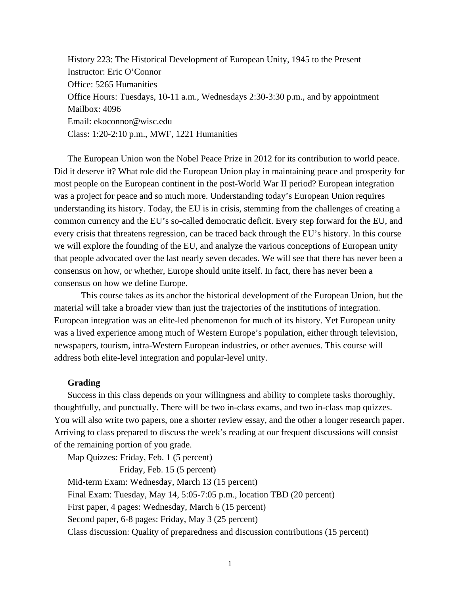History 223: The Historical Development of European Unity, 1945 to the Present Instructor: Eric O'Connor Office: 5265 Humanities Office Hours: Tuesdays, 10-11 a.m., Wednesdays 2:30-3:30 p.m., and by appointment Mailbox: 4096 Email: ekoconnor@wisc.edu Class: 1:20-2:10 p.m., MWF, 1221 Humanities

The European Union won the Nobel Peace Prize in 2012 for its contribution to world peace. Did it deserve it? What role did the European Union play in maintaining peace and prosperity for most people on the European continent in the post-World War II period? European integration was a project for peace and so much more. Understanding today's European Union requires understanding its history. Today, the EU is in crisis, stemming from the challenges of creating a common currency and the EU's so-called democratic deficit. Every step forward for the EU, and every crisis that threatens regression, can be traced back through the EU's history. In this course we will explore the founding of the EU, and analyze the various conceptions of European unity that people advocated over the last nearly seven decades. We will see that there has never been a consensus on how, or whether, Europe should unite itself. In fact, there has never been a consensus on how we define Europe.

 This course takes as its anchor the historical development of the European Union, but the material will take a broader view than just the trajectories of the institutions of integration. European integration was an elite-led phenomenon for much of its history. Yet European unity was a lived experience among much of Western Europe's population, either through television, newspapers, tourism, intra-Western European industries, or other avenues. This course will address both elite-level integration and popular-level unity.

#### **Grading**

Success in this class depends on your willingness and ability to complete tasks thoroughly, thoughtfully, and punctually. There will be two in-class exams, and two in-class map quizzes. You will also write two papers, one a shorter review essay, and the other a longer research paper. Arriving to class prepared to discuss the week's reading at our frequent discussions will consist of the remaining portion of you grade.

Map Quizzes: Friday, Feb. 1 (5 percent)

Friday, Feb. 15 (5 percent)

Mid-term Exam: Wednesday, March 13 (15 percent) Final Exam: Tuesday, May 14, 5:05-7:05 p.m., location TBD (20 percent) First paper, 4 pages: Wednesday, March 6 (15 percent) Second paper, 6-8 pages: Friday, May 3 (25 percent)

Class discussion: Quality of preparedness and discussion contributions (15 percent)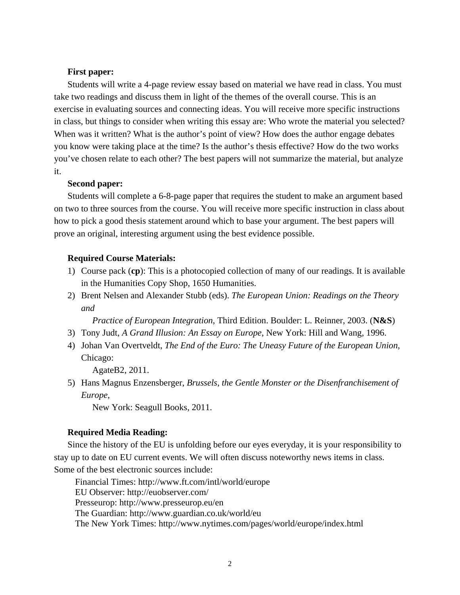# **First paper:**

Students will write a 4-page review essay based on material we have read in class. You must take two readings and discuss them in light of the themes of the overall course. This is an exercise in evaluating sources and connecting ideas. You will receive more specific instructions in class, but things to consider when writing this essay are: Who wrote the material you selected? When was it written? What is the author's point of view? How does the author engage debates you know were taking place at the time? Is the author's thesis effective? How do the two works you've chosen relate to each other? The best papers will not summarize the material, but analyze it.

## **Second paper:**

Students will complete a 6-8-page paper that requires the student to make an argument based on two to three sources from the course. You will receive more specific instruction in class about how to pick a good thesis statement around which to base your argument. The best papers will prove an original, interesting argument using the best evidence possible.

## **Required Course Materials:**

- 1) Course pack (**cp**): This is a photocopied collection of many of our readings. It is available in the Humanities Copy Shop, 1650 Humanities.
- 2) Brent Nelsen and Alexander Stubb (eds). *The European Union: Readings on the Theory and*

 *Practice of European Integration*, Third Edition. Boulder: L. Reinner, 2003. (**N&S**)

- 3) Tony Judt, *A Grand Illusion: An Essay on Europe*, New York: Hill and Wang, 1996.
- 4) Johan Van Overtveldt, *The End of the Euro: The Uneasy Future of the European Union*, Chicago:

AgateB2, 2011.

5) Hans Magnus Enzensberger, *Brussels, the Gentle Monster or the Disenfranchisement of Europe*,

New York: Seagull Books, 2011.

#### **Required Media Reading:**

Since the history of the EU is unfolding before our eyes everyday, it is your responsibility to stay up to date on EU current events. We will often discuss noteworthy news items in class. Some of the best electronic sources include:

 Financial Times: http://www.ft.com/intl/world/europe EU Observer: http://euobserver.com/ Presseurop: http://www.presseurop.eu/en The Guardian: http://www.guardian.co.uk/world/eu The New York Times: http://www.nytimes.com/pages/world/europe/index.html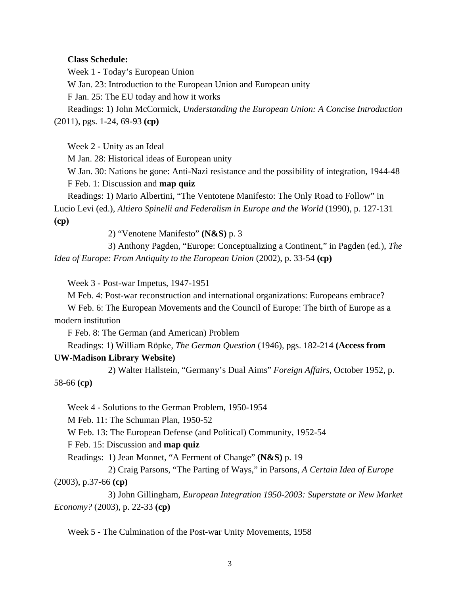# **Class Schedule:**

Week 1 - Today's European Union W Jan. 23: Introduction to the European Union and European unity F Jan. 25: The EU today and how it works Readings: 1) John McCormick, *Understanding the European Union: A Concise Introduction* (2011), pgs. 1-24, 69-93 **(cp)**

Week 2 - Unity as an Ideal

M Jan. 28: Historical ideas of European unity

W Jan. 30: Nations be gone: Anti-Nazi resistance and the possibility of integration, 1944-48 F Feb. 1: Discussion and **map quiz**

Readings: 1) Mario Albertini, "The Ventotene Manifesto: The Only Road to Follow" in Lucio Levi (ed.), *Altiero Spinelli and Federalism in Europe and the World* (1990), p. 127-131 **(cp)**

2) "Venotene Manifesto" **(N&S)** p. 3

 3) Anthony Pagden, "Europe: Conceptualizing a Continent," in Pagden (ed.), *The Idea of Europe: From Antiquity to the European Union* (2002), p. 33-54 **(cp)**

Week 3 - Post-war Impetus, 1947-1951

M Feb. 4: Post-war reconstruction and international organizations: Europeans embrace?

W Feb. 6: The European Movements and the Council of Europe: The birth of Europe as a modern institution

F Feb. 8: The German (and American) Problem

Readings: 1) William Röpke, *The German Question* (1946)*,* pgs. 182-214 **(Access from UW-Madison Library Website)** 

2) Walter Hallstein, "Germany's Dual Aims" *Foreign Affairs*, October 1952, p.

58-66 **(cp)**

Week 4 - Solutions to the German Problem, 1950-1954

M Feb. 11: The Schuman Plan, 1950-52

W Feb. 13: The European Defense (and Political) Community, 1952-54

F Feb. 15: Discussion and **map quiz**

Readings: 1) Jean Monnet, "A Ferment of Change" **(N&S)** p. 19

 2) Craig Parsons, "The Parting of Ways," in Parsons, *A Certain Idea of Europe*  (2003), p.37-66 **(cp)**

 3) John Gillingham, *European Integration 1950-2003: Superstate or New Market Economy?* (2003), p. 22-33 **(cp)**

Week 5 - The Culmination of the Post-war Unity Movements, 1958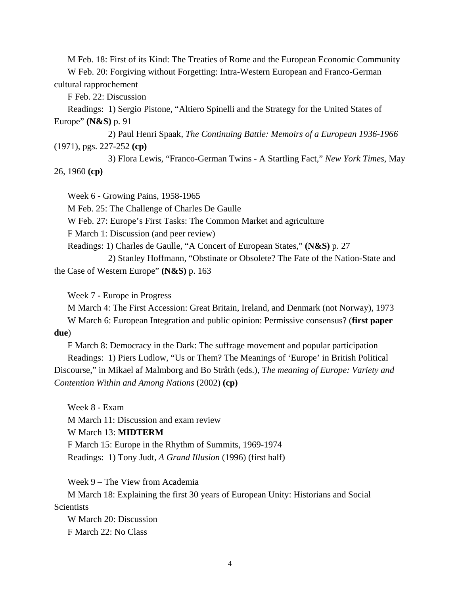M Feb. 18: First of its Kind: The Treaties of Rome and the European Economic Community

W Feb. 20: Forgiving without Forgetting: Intra-Western European and Franco-German cultural rapprochement

F Feb. 22: Discussion

Readings: 1) Sergio Pistone, "Altiero Spinelli and the Strategy for the United States of Europe" **(N&S)** p. 91

 2) Paul Henri Spaak, *The Continuing Battle: Memoirs of a European 1936-1966* (1971), pgs. 227-252 **(cp)**

 3) Flora Lewis, "Franco-German Twins - A Startling Fact," *New York Times*, May 26, 1960 **(cp)**

Week 6 - Growing Pains, 1958-1965

M Feb. 25: The Challenge of Charles De Gaulle

W Feb. 27: Europe's First Tasks: The Common Market and agriculture

F March 1: Discussion (and peer review)

Readings: 1) Charles de Gaulle, "A Concert of European States," **(N&S)** p. 27

 2) Stanley Hoffmann, "Obstinate or Obsolete? The Fate of the Nation-State and the Case of Western Europe" **(N&S)** p. 163

Week 7 - Europe in Progress

M March 4: The First Accession: Great Britain, Ireland, and Denmark (not Norway), 1973 W March 6: European Integration and public opinion: Permissive consensus? (**first paper** 

# **due**)

F March 8: Democracy in the Dark: The suffrage movement and popular participation Readings: 1) Piers Ludlow, "Us or Them? The Meanings of 'Europe' in British Political Discourse," in Mikael af Malmborg and Bo Stråth (eds.), *The meaning of Europe: Variety and Contention Within and Among Nations* (2002) **(cp)** 

Week 8 - Exam M March 11: Discussion and exam review W March 13: **MIDTERM**  F March 15: Europe in the Rhythm of Summits, 1969-1974 Readings: 1) Tony Judt, *A Grand Illusion* (1996) (first half)

Week 9 – The View from Academia

M March 18: Explaining the first 30 years of European Unity: Historians and Social **Scientists** 

W March 20: Discussion F March 22: No Class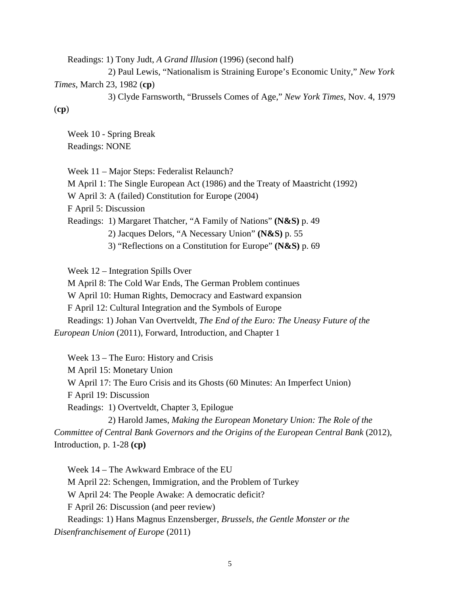Readings: 1) Tony Judt, *A Grand Illusion* (1996) (second half)

2) Paul Lewis, "Nationalism is Straining Europe's Economic Unity," *New York Times*, March 23, 1982 (**cp**)

 3) Clyde Farnsworth, "Brussels Comes of Age," *New York Times*, Nov. 4, 1979 (**cp**)

Week 10 - Spring Break Readings: NONE

Week 11 – Major Steps: Federalist Relaunch?

M April 1: The Single European Act (1986) and the Treaty of Maastricht (1992)

W April 3: A (failed) Constitution for Europe (2004)

F April 5: Discussion

Readings: 1) Margaret Thatcher, "A Family of Nations" **(N&S)** p. 49

2) Jacques Delors, "A Necessary Union" **(N&S)** p. 55

3) "Reflections on a Constitution for Europe" **(N&S)** p. 69

Week 12 – Integration Spills Over

M April 8: The Cold War Ends, The German Problem continues

W April 10: Human Rights, Democracy and Eastward expansion

F April 12: Cultural Integration and the Symbols of Europe

Readings: 1) Johan Van Overtveldt, *The End of the Euro: The Uneasy Future of the European Union* (2011), Forward, Introduction, and Chapter 1

Week 13 – The Euro: History and Crisis M April 15: Monetary Union W April 17: The Euro Crisis and its Ghosts (60 Minutes: An Imperfect Union) F April 19: Discussion Readings: 1) Overtveldt, Chapter 3, Epilogue 2) Harold James, *Making the European Monetary Union: The Role of the Committee of Central Bank Governors and the Origins of the European Central Bank* (2012),

Introduction, p. 1-28 **(cp)** 

Week 14 – The Awkward Embrace of the EU M April 22: Schengen, Immigration, and the Problem of Turkey W April 24: The People Awake: A democratic deficit? F April 26: Discussion (and peer review) Readings: 1) Hans Magnus Enzensberger, *Brussels, the Gentle Monster or the Disenfranchisement of Europe* (2011)